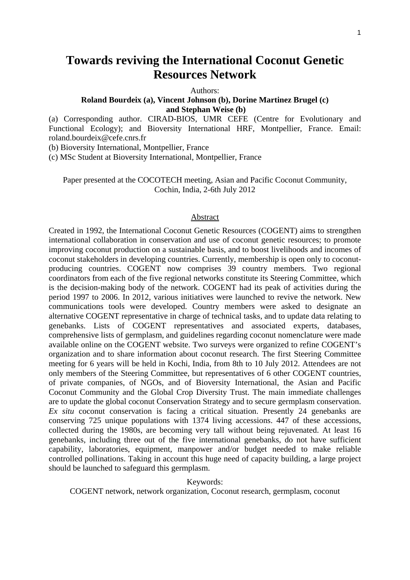# **Towards reviving the International Coconut Genetic Resources Network**

Authors:

#### **Roland Bourdeix (a), Vincent Johnson (b), Dorine Martinez Brugel (c) and Stephan Weise (b)**

(a) Corresponding author. CIRAD-BIOS, UMR CEFE (Centre for Evolutionary and Functional Ecology); and Bioversity International HRF, Montpellier, France. Email: roland.bourdeix@cefe.cnrs.fr

(b) Bioversity International, Montpellier, France

(c) MSc Student at Bioversity International, Montpellier, France

Paper presented at the COCOTECH meeting, Asian and Pacific Coconut Community, Cochin, India, 2-6th July 2012

#### Abstract

Created in 1992, the International Coconut Genetic Resources (COGENT) aims to strengthen international collaboration in conservation and use of coconut genetic resources; to promote improving coconut production on a sustainable basis, and to boost livelihoods and incomes of coconut stakeholders in developing countries. Currently, membership is open only to coconutproducing countries. COGENT now comprises 39 country members. Two regional coordinators from each of the five regional networks constitute its Steering Committee, which is the decision-making body of the network. COGENT had its peak of activities during the period 1997 to 2006. In 2012, various initiatives were launched to revive the network. New communications tools were developed. Country members were asked to designate an alternative COGENT representative in charge of technical tasks, and to update data relating to genebanks. Lists of COGENT representatives and associated experts, databases, comprehensive lists of germplasm, and guidelines regarding coconut nomenclature were made available online on the COGENT website. Two surveys were organized to refine COGENT's organization and to share information about coconut research. The first Steering Committee meeting for 6 years will be held in Kochi, India, from 8th to 10 July 2012. Attendees are not only members of the Steering Committee, but representatives of 6 other COGENT countries, of private companies, of NGOs, and of Bioversity International, the Asian and Pacific Coconut Community and the Global Crop Diversity Trust. The main immediate challenges are to update the global coconut Conservation Strategy and to secure germplasm conservation. *Ex situ* coconut conservation is facing a critical situation. Presently 24 genebanks are conserving 725 unique populations with 1374 living accessions. 447 of these accessions, collected during the 1980s, are becoming very tall without being rejuvenated. At least 16 genebanks, including three out of the five international genebanks, do not have sufficient capability, laboratories, equipment, manpower and/or budget needed to make reliable controlled pollinations. Taking in account this huge need of capacity building, a large project should be launched to safeguard this germplasm.

Keywords:

COGENT network, network organization, Coconut research, germplasm, coconut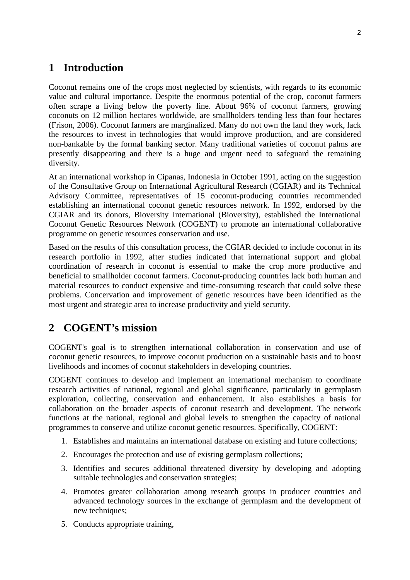## **1 Introduction**

Coconut remains one of the crops most neglected by scientists, with regards to its economic value and cultural importance. Despite the enormous potential of the crop, coconut farmers often scrape a living below the poverty line. About 96% of coconut farmers, growing coconuts on 12 million hectares worldwide, are smallholders tending less than four hectares (Frison, 2006). Coconut farmers are marginalized. Many do not own the land they work, lack the resources to invest in technologies that would improve production, and are considered non-bankable by the formal banking sector. Many traditional varieties of coconut palms are presently disappearing and there is a huge and urgent need to safeguard the remaining diversity.

At an international workshop in Cipanas, Indonesia in October 1991, acting on the suggestion of the Consultative Group on International Agricultural Research (CGIAR) and its Technical Advisory Committee, representatives of 15 coconut-producing countries recommended establishing an international coconut genetic resources network. In 1992, endorsed by the CGIAR and its donors, Bioversity International (Bioversity), established the International Coconut Genetic Resources Network (COGENT) to promote an international collaborative programme on genetic resources conservation and use.

Based on the results of this consultation process, the CGIAR decided to include coconut in its research portfolio in 1992, after studies indicated that international support and global coordination of research in coconut is essential to make the crop more productive and beneficial to smallholder coconut farmers. Coconut-producing countries lack both human and material resources to conduct expensive and time-consuming research that could solve these problems. Concervation and improvement of genetic resources have been identified as the most urgent and strategic area to increase productivity and yield security.

## **2 COGENT's mission**

COGENT's goal is to strengthen international collaboration in conservation and use of coconut genetic resources, to improve coconut production on a sustainable basis and to boost livelihoods and incomes of coconut stakeholders in developing countries.

COGENT continues to develop and implement an international mechanism to coordinate research activities of national, regional and global significance, particularly in germplasm exploration, collecting, conservation and enhancement. It also establishes a basis for collaboration on the broader aspects of coconut research and development. The network functions at the national, regional and global levels to strengthen the capacity of national programmes to conserve and utilize coconut genetic resources. Specifically, COGENT:

- 1. Establishes and maintains an international database on existing and future collections;
- 2. Encourages the protection and use of existing germplasm collections;
- 3. Identifies and secures additional threatened diversity by developing and adopting suitable technologies and conservation strategies;
- 4. Promotes greater collaboration among research groups in producer countries and advanced technology sources in the exchange of germplasm and the development of new techniques;
- 5. Conducts appropriate training,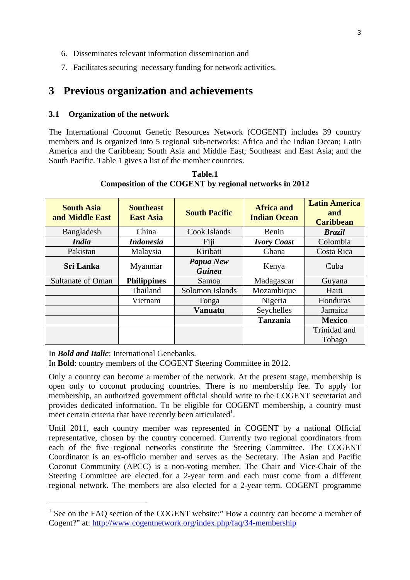- 6. Disseminates relevant information dissemination and
- 7. Facilitates securing necessary funding for network activities.

## **3 Previous organization and achievements**

#### **3.1 Organization of the network**

The International Coconut Genetic Resources Network (COGENT) includes 39 country members and is organized into 5 regional sub-networks: Africa and the Indian Ocean; Latin America and the Caribbean; South Asia and Middle East; Southeast and East Asia; and the South Pacific. Table 1 gives a list of the member countries.

| <b>South Asia</b><br>and Middle East | <b>Southeast</b><br><b>East Asia</b> | <b>South Pacific</b>       | <b>Africa and</b><br><b>Indian Ocean</b> | <b>Latin America</b><br>and<br><b>Caribbean</b> |  |
|--------------------------------------|--------------------------------------|----------------------------|------------------------------------------|-------------------------------------------------|--|
| Bangladesh                           | China                                | Cook Islands               | Benin                                    | <b>Brazil</b>                                   |  |
| <i>India</i>                         | <b>Indonesia</b>                     | Fiji                       | <b>Ivory Coast</b>                       | Colombia                                        |  |
| Pakistan                             | Malaysia                             | Kiribati                   | Ghana                                    | Costa Rica                                      |  |
| <b>Sri Lanka</b>                     | Myanmar                              | Papua New<br><b>Guinea</b> | Kenya                                    | Cuba                                            |  |
| <b>Sultanate of Oman</b>             | <b>Philippines</b>                   | Samoa                      | Madagascar                               | Guyana                                          |  |
|                                      | Thailand                             | Solomon Islands            | Mozambique                               | Haiti                                           |  |
|                                      | Vietnam                              | Tonga                      | Nigeria                                  | Honduras                                        |  |
|                                      |                                      | <b>Vanuatu</b>             | Seychelles                               | Jamaica                                         |  |
|                                      |                                      |                            | <b>Tanzania</b>                          | <b>Mexico</b>                                   |  |
|                                      |                                      |                            |                                          | Trinidad and<br>Tobago                          |  |

**Table.1 Composition of the COGENT by regional networks in 2012** 

#### In *Bold and Italic*: International Genebanks.

1

In **Bold**: country members of the COGENT Steering Committee in 2012.

Only a country can become a member of the network. At the present stage, membership is open only to coconut producing countries. There is no membership fee. To apply for membership, an authorized government official should write to the COGENT secretariat and provides dedicated information. To be eligible for COGENT membership, a country must meet certain criteria that have recently been articulated<sup>1</sup>.

Until 2011, each country member was represented in COGENT by a national Official representative, chosen by the country concerned. Currently two regional coordinators from each of the five regional networks constitute the Steering Committee. The COGENT Coordinator is an ex-officio member and serves as the Secretary. The Asian and Pacific Coconut Community (APCC) is a non-voting member. The Chair and Vice-Chair of the Steering Committee are elected for a 2-year term and each must come from a different regional network. The members are also elected for a 2-year term. COGENT programme

<sup>&</sup>lt;sup>1</sup> See on the FAQ section of the COGENT website:" How a country can become a member of Cogent?" at: http://www.cogentnetwork.org/index.php/faq/34-membership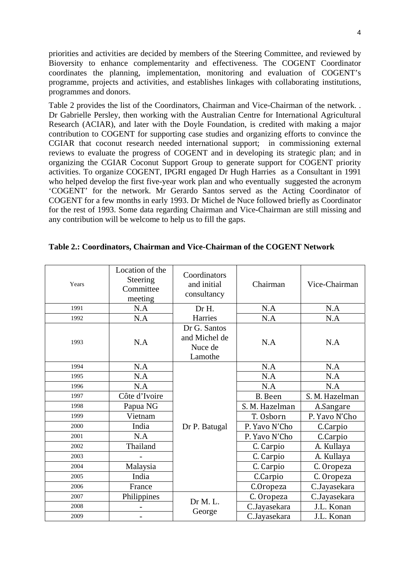priorities and activities are decided by members of the Steering Committee, and reviewed by Bioversity to enhance complementarity and effectiveness. The COGENT Coordinator coordinates the planning, implementation, monitoring and evaluation of COGENT's programme, projects and activities, and establishes linkages with collaborating institutions, programmes and donors.

Table 2 provides the list of the Coordinators, Chairman and Vice-Chairman of the network. . Dr Gabrielle Persley, then working with the Australian Centre for International Agricultural Research (ACIAR), and later with the Doyle Foundation, is credited with making a major contribution to COGENT for supporting case studies and organizing efforts to convince the CGIAR that coconut research needed international support; in commissioning external reviews to evaluate the progress of COGENT and in developing its strategic plan; and in organizing the CGIAR Coconut Support Group to generate support for COGENT priority activities. To organize COGENT, IPGRI engaged Dr Hugh Harries as a Consultant in 1991 who helped develop the first five-year work plan and who eventually suggested the acronym 'COGENT' for the network. Mr Gerardo Santos served as the Acting Coordinator of COGENT for a few months in early 1993. Dr Michel de Nuce followed briefly as Coordinator for the rest of 1993. Some data regarding Chairman and Vice-Chairman are still missing and any contribution will be welcome to help us to fill the gaps.

| Years | Location of the<br>Steering<br>Committee<br>meeting |                                                     | Chairman       | Vice-Chairman  |  |
|-------|-----------------------------------------------------|-----------------------------------------------------|----------------|----------------|--|
| 1991  | N.A                                                 | Dr H.                                               | N.A            | N.A            |  |
| 1992  | N.A                                                 | Harries                                             | N.A            | N.A            |  |
| 1993  | N.A                                                 | Dr G. Santos<br>and Michel de<br>Nuce de<br>Lamothe | N.A            | N.A            |  |
| 1994  | N.A                                                 |                                                     | N.A            | N.A            |  |
| 1995  | N.A                                                 |                                                     | N.A            | N.A            |  |
| 1996  | N.A                                                 |                                                     | N.A            | N.A            |  |
| 1997  | Côte d'Ivoire                                       |                                                     | B. Been        | S. M. Hazelman |  |
| 1998  | Papua NG                                            |                                                     | S. M. Hazelman | A.Sangare      |  |
| 1999  | Vietnam                                             |                                                     | T. Osborn      | P. Yavo N'Cho  |  |
| 2000  | India                                               | Dr P. Batugal                                       | P. Yavo N'Cho  | C.Carpio       |  |
| 2001  | N.A                                                 |                                                     | P. Yavo N'Cho  | C.Carpio       |  |
| 2002  | Thailand                                            |                                                     | C. Carpio      | A. Kullaya     |  |
| 2003  |                                                     |                                                     | C. Carpio      | A. Kullaya     |  |
| 2004  | Malaysia                                            |                                                     | C. Carpio      | C. Oropeza     |  |
| 2005  | India                                               |                                                     | C.Carpio       | C. Oropeza     |  |
| 2006  | France                                              |                                                     | C.Oropeza      | C.Jayasekara   |  |
| 2007  | Philippines                                         | Dr M.L.<br>George                                   | C. Oropeza     | C.Jayasekara   |  |
| 2008  |                                                     |                                                     | C.Jayasekara   | J.L. Konan     |  |
| 2009  |                                                     |                                                     | C.Jayasekara   | J.L. Konan     |  |

### **Table 2.: Coordinators, Chairman and Vice-Chairman of the COGENT Network**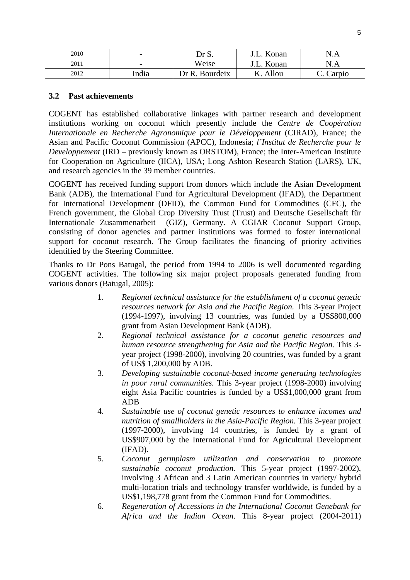| 2010 | $\overline{\phantom{0}}$ | Dr S.             | Konan | N.                |  |
|------|--------------------------|-------------------|-------|-------------------|--|
| 2011 | $\overline{\phantom{0}}$ | Weise             | Konan | N<br>⊢<br>. 1.1.2 |  |
| 2012 | India                    | Bourdeix<br>ר R ר | Allou | 'arpio<br>J.      |  |

### **3.2 Past achievements**

COGENT has established collaborative linkages with partner research and development institutions working on coconut which presently include the *Centre de Coopération Internationale en Recherche Agronomique pour le Développement* (CIRAD), France; the Asian and Pacific Coconut Commission (APCC), Indonesia; *l'Institut de Recherche pour le Developpement* (IRD – previously known as ORSTOM), France; the Inter-American Institute for Cooperation on Agriculture (IICA), USA; Long Ashton Research Station (LARS), UK, and research agencies in the 39 member countries.

COGENT has received funding support from donors which include the Asian Development Bank (ADB), the International Fund for Agricultural Development (IFAD), the Department for International Development (DFID), the Common Fund for Commodities (CFC), the French government, the Global Crop Diversity Trust (Trust) and Deutsche Gesellschaft für Internationale Zusammenarbeit (GIZ), Germany. A CGIAR Coconut Support Group, consisting of donor agencies and partner institutions was formed to foster international support for coconut research. The Group facilitates the financing of priority activities identified by the Steering Committee.

Thanks to Dr Pons Batugal, the period from 1994 to 2006 is well documented regarding COGENT activities. The following six major project proposals generated funding from various donors (Batugal, 2005):

- 1. *Regional technical assistance for the establishment of a coconut genetic resources network for Asia and the Pacific Region.* This 3-year Project (1994-1997), involving 13 countries, was funded by a US\$800,000 grant from Asian Development Bank (ADB).
- 2. *Regional technical assistance for a coconut genetic resources and human resource strengthening for Asia and the Pacific Region.* This 3 year project (1998-2000), involving 20 countries, was funded by a grant of US\$ 1,200,000 by ADB.
- 3. *Developing sustainable coconut-based income generating technologies in poor rural communities.* This 3-year project (1998-2000) involving eight Asia Pacific countries is funded by a US\$1,000,000 grant from ADB
- 4. *Sustainable use of coconut genetic resources to enhance incomes and nutrition of smallholders in the Asia-Pacific Region.* This 3-year project (1997-2000), involving 14 countries, is funded by a grant of US\$907,000 by the International Fund for Agricultural Development (IFAD).
- 5. *Coconut germplasm utilization and conservation to promote sustainable coconut production.* This 5-year project (1997-2002), involving 3 African and 3 Latin American countries in variety/ hybrid multi-location trials and technology transfer worldwide, is funded by a US\$1,198,778 grant from the Common Fund for Commodities.
- 6. *Regeneration of Accessions in the International Coconut Genebank for Africa and the Indian Ocean*. This 8-year project (2004-2011)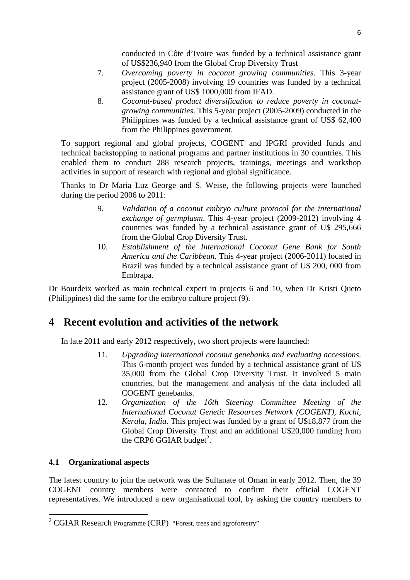conducted in Côte d'Ivoire was funded by a technical assistance grant of US\$236,940 from the Global Crop Diversity Trust

- 7. *Overcoming poverty in coconut growing communities.* This 3-year project (2005-2008) involving 19 countries was funded by a technical assistance grant of US\$ 1000,000 from IFAD.
- 8. *Coconut-based product diversification to reduce poverty in coconutgrowing communities*. This 5-year project (2005-2009) conducted in the Philippines was funded by a technical assistance grant of US\$ 62,400 from the Philippines government.

To support regional and global projects, COGENT and IPGRI provided funds and technical backstopping to national programs and partner institutions in 30 countries. This enabled them to conduct 288 research projects, trainings, meetings and workshop activities in support of research with regional and global significance.

Thanks to Dr Maria Luz George and S. Weise, the following projects were launched during the period 2006 to 2011:

- 9. *Validation of a coconut embryo culture protocol for the international exchange of germplasm*. This 4-year project (2009-2012) involving 4 countries was funded by a technical assistance grant of U\$ 295,666 from the Global Crop Diversity Trust.
- 10. *Establishment of the International Coconut Gene Bank for South America and the Caribbean*. This 4-year project (2006-2011) located in Brazil was funded by a technical assistance grant of U\$ 200, 000 from Embrapa.

Dr Bourdeix worked as main technical expert in projects 6 and 10, when Dr Kristi Queto (Philippines) did the same for the embryo culture project (9).

## **4 Recent evolution and activities of the network**

In late 2011 and early 2012 respectively, two short projects were launched:

- 11. *Upgrading international coconut genebanks and evaluating accessions*. This 6-month project was funded by a technical assistance grant of U\$ 35,000 from the Global Crop Diversity Trust. It involved 5 main countries, but the management and analysis of the data included all COGENT genebanks.
- 12. *Organization of the 16th Steering Committee Meeting of the International Coconut Genetic Resources Network (COGENT), Kochi, Kerala, India*. This project was funded by a grant of U\$18,877 from the Global Crop Diversity Trust and an additional U\$20,000 funding from the CRP6 GGIAR budget<sup>2</sup>.

### **4.1 Organizational aspects**

1

The latest country to join the network was the Sultanate of Oman in early 2012. Then, the 39 COGENT country members were contacted to confirm their official COGENT representatives. We introduced a new organisational tool, by asking the country members to

<sup>&</sup>lt;sup>2</sup> CGIAR Research Programme (CRP) "Forest, trees and agroforestry"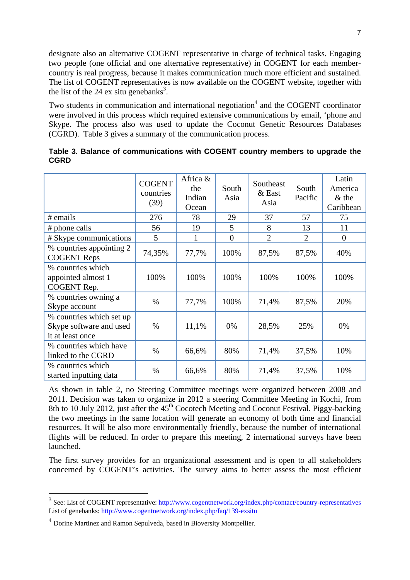designate also an alternative COGENT representative in charge of technical tasks. Engaging two people (one official and one alternative representative) in COGENT for each membercountry is real progress, because it makes communication much more efficient and sustained. The list of COGENT representatives is now available on the COGENT website, together with the list of the 24 ex situ genebanks<sup>3</sup>.

Two students in communication and international negotiation<sup>4</sup> and the COGENT coordinator were involved in this process which required extensive communications by email, 'phone and Skype. The process also was used to update the Coconut Genetic Resources Databases (CGRD). Table 3 gives a summary of the communication process.

|                                                                         | <b>COGENT</b><br>countries<br>(39) | Africa &<br>the<br>Indian<br>Ocean | South<br>Asia  | Southeast<br>$&$ East<br>Asia | South<br>Pacific | Latin<br>America<br>$&$ the<br>Caribbean |
|-------------------------------------------------------------------------|------------------------------------|------------------------------------|----------------|-------------------------------|------------------|------------------------------------------|
| # emails                                                                | 276                                | 78                                 | 29             | 37                            | 57               | 75                                       |
| # phone calls                                                           | 56                                 | 19                                 | 5              | 8                             | 13               | 11                                       |
| # Skype communications                                                  | 5                                  | $\mathbf{1}$                       | $\overline{0}$ | $\overline{2}$                | $\overline{2}$   | $\overline{0}$                           |
| % countries appointing 2<br><b>COGENT Reps</b>                          | 74,35%                             | 77,7%                              | 100%           | 87,5%                         | 87,5%            | 40%                                      |
| % countries which<br>appointed almost 1<br>COGENT Rep.                  | 100%                               | 100%                               | 100%           | 100%                          | 100%             | 100%                                     |
| % countries owning a<br>Skype account                                   | $\%$                               | 77,7%                              | 100%           | 71,4%                         | 87,5%            | 20%                                      |
| % countries which set up<br>Skype software and used<br>it at least once | $\%$                               | 11,1%                              | 0%             | 28,5%                         | 25%              | 0%                                       |
| % countries which have<br>linked to the CGRD                            | %                                  | 66,6%                              | 80%            | 71,4%                         | 37,5%            | 10%                                      |
| % countries which<br>started inputting data                             | $\%$                               | 66,6%                              | 80%            | 71,4%                         | 37,5%            | 10%                                      |

**Table 3. Balance of communications with COGENT country members to upgrade the CGRD**

As shown in table 2, no Steering Committee meetings were organized between 2008 and 2011. Decision was taken to organize in 2012 a steering Committee Meeting in Kochi, from 8th to 10 July 2012, just after the  $45<sup>th</sup>$  Cocotech Meeting and Coconut Festival. Piggy-backing the two meetings in the same location will generate an economy of both time and financial resources. It will be also more environmentally friendly, because the number of international flights will be reduced. In order to prepare this meeting, 2 international surveys have been launched.

The first survey provides for an organizational assessment and is open to all stakeholders concerned by COGENT's activities. The survey aims to better assess the most efficient

1

<sup>&</sup>lt;sup>3</sup> See: List of COGENT representative: http://www.cogentnetwork.org/index.php/contact/country-representatives List of genebanks: http://www.cogentnetwork.org/index.php/faq/139-exsitu

<sup>4</sup> Dorine Martinez and Ramon Sepulveda, based in Bioversity Montpellier.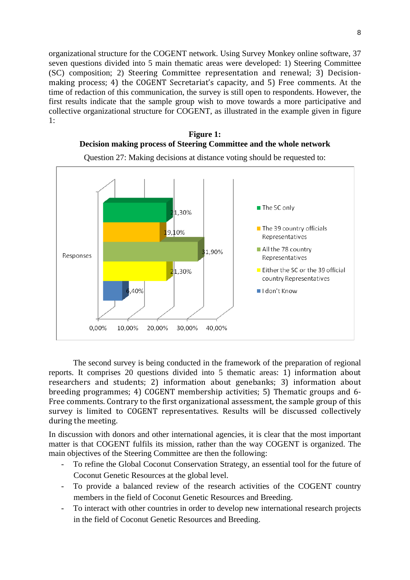organizational structure for the COGENT network. Using Survey Monkey online software, 37 seven questions divided into 5 main thematic areas were developed: 1) Steering Committee  $(SC)$  composition; 2) Steering Committee representation and renewal; 3) Decisionmaking process; 4) the COGENT Secretariat's capacity, and 5) Free comments. At the time of redaction of this communication, the survey is still open to respondents. However, the first results indicate that the sample group wish to move towards a more participative and collective organizational structure for COGENT, as illustrated in the example given in figure 1:





Question 27: Making decisions at distance voting should be requested to:

The second survey is being conducted in the framework of the preparation of regional reports. It comprises 20 questions divided into 5 thematic areas: 1) information about researchers and students; 2) information about genebanks; 3) information about breeding programmes; 4) COGENT membership activities; 5) Thematic groups and 6-Free comments. Contrary to the first organizational assessment, the sample group of this survey is limited to COGENT representatives. Results will be discussed collectively during the meeting.

In discussion with donors and other international agencies, it is clear that the most important matter is that COGENT fulfils its mission, rather than the way COGENT is organized. The main objectives of the Steering Committee are then the following:

- To refine the Global Coconut Conservation Strategy, an essential tool for the future of Coconut Genetic Resources at the global level.
- To provide a balanced review of the research activities of the COGENT country members in the field of Coconut Genetic Resources and Breeding.
- To interact with other countries in order to develop new international research projects in the field of Coconut Genetic Resources and Breeding.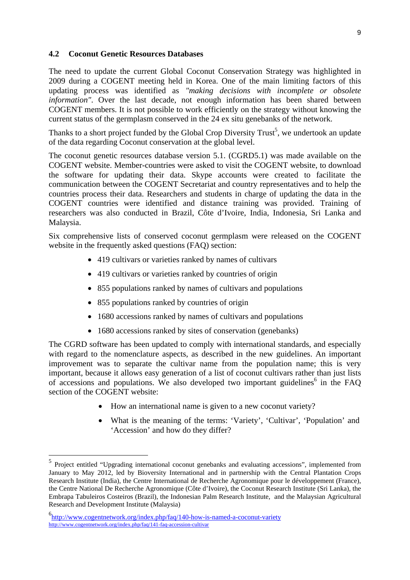#### **4.2 Coconut Genetic Resources Databases**

The need to update the current Global Coconut Conservation Strategy was highlighted in 2009 during a COGENT meeting held in Korea. One of the main limiting factors of this updating process was identified as *"making decisions with incomplete or obsolete information"*. Over the last decade, not enough information has been shared between COGENT members. It is not possible to work efficiently on the strategy without knowing the current status of the germplasm conserved in the 24 ex situ genebanks of the network.

Thanks to a short project funded by the Global Crop Diversity Trust<sup>5</sup>, we undertook an update of the data regarding Coconut conservation at the global level.

The coconut genetic resources database version 5.1. (CGRD5.1) was made available on the COGENT website. Member-countries were asked to visit the COGENT website, to download the software for updating their data. Skype accounts were created to facilitate the communication between the COGENT Secretariat and country representatives and to help the countries process their data. Researchers and students in charge of updating the data in the COGENT countries were identified and distance training was provided. Training of researchers was also conducted in Brazil, Côte d'Ivoire, India, Indonesia, Sri Lanka and Malaysia.

Six comprehensive lists of conserved coconut germplasm were released on the COGENT website in the frequently asked questions (FAO) section:

- 419 cultivars or varieties ranked by names of cultivars
- 419 cultivars or varieties ranked by countries of origin
- 855 populations ranked by names of cultivars and populations
- 855 populations ranked by countries of origin
- 1680 accessions ranked by names of cultivars and populations
- 1680 accessions ranked by sites of conservation (genebanks)

The CGRD software has been updated to comply with international standards, and especially with regard to the nomenclature aspects, as described in the new guidelines. An important improvement was to separate the cultivar name from the population name; this is very important, because it allows easy generation of a list of coconut cultivars rather than just lists of accessions and populations. We also developed two important guidelines<sup>6</sup> in the FAQ section of the COGENT website:

- How an international name is given to a new coconut variety?
- What is the meaning of the terms: 'Variety', 'Cultivar', 'Population' and 'Accession' and how do they differ?

1

<sup>5</sup> Project entitled "Upgrading international coconut genebanks and evaluating accessions", implemented from January to May 2012, led by Bioversity International and in partnership with the Central Plantation Crops Research Institute (India), the Centre International de Recherche Agronomique pour le développement (France), the Centre National De Recherche Agronomique (Côte d'Ivoire), the Coconut Research Institute (Sri Lanka), the Embrapa Tabuleiros Costeiros (Brazil), the Indonesian Palm Research Institute, and the Malaysian Agricultural Research and Development Institute (Malaysia)

<sup>6</sup> http://www.cogentnetwork.org/index.php/faq/140-how-is-named-a-coconut-variety http://www.cogentnetwork.org/index.php/faq/141-faq-accession-cultivar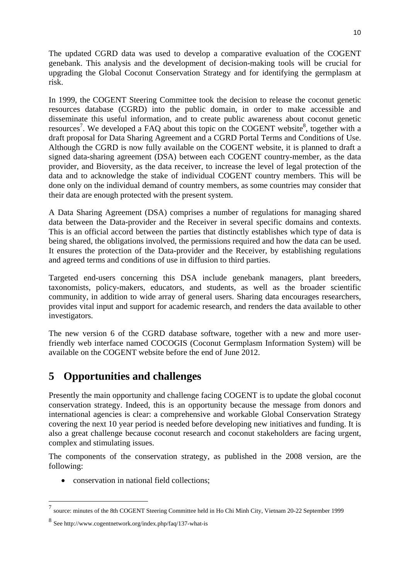The updated CGRD data was used to develop a comparative evaluation of the COGENT genebank. This analysis and the development of decision-making tools will be crucial for upgrading the Global Coconut Conservation Strategy and for identifying the germplasm at risk.

In 1999, the COGENT Steering Committee took the decision to release the coconut genetic resources database (CGRD) into the public domain, in order to make accessible and disseminate this useful information, and to create public awareness about coconut genetic resources<sup>7</sup>. We developed a FAQ about this topic on the COGENT website<sup>8</sup>, together with a draft proposal for Data Sharing Agreement and a CGRD Portal Terms and Conditions of Use. Although the CGRD is now fully available on the COGENT website, it is planned to draft a signed data-sharing agreement (DSA) between each COGENT country-member, as the data provider, and Bioversity, as the data receiver, to increase the level of legal protection of the data and to acknowledge the stake of individual COGENT country members. This will be done only on the individual demand of country members, as some countries may consider that their data are enough protected with the present system.

A Data Sharing Agreement (DSA) comprises a number of regulations for managing shared data between the Data-provider and the Receiver in several specific domains and contexts. This is an official accord between the parties that distinctly establishes which type of data is being shared, the obligations involved, the permissions required and how the data can be used. It ensures the protection of the Data-provider and the Receiver, by establishing regulations and agreed terms and conditions of use in diffusion to third parties.

Targeted end-users concerning this DSA include genebank managers, plant breeders, taxonomists, policy-makers, educators, and students, as well as the broader scientific community, in addition to wide array of general users. Sharing data encourages researchers, provides vital input and support for academic research, and renders the data available to other investigators.

The new version 6 of the CGRD database software, together with a new and more userfriendly web interface named COCOGIS (Coconut Germplasm Information System) will be available on the COGENT website before the end of June 2012.

# **5 Opportunities and challenges**

Presently the main opportunity and challenge facing COGENT is to update the global coconut conservation strategy. Indeed, this is an opportunity because the message from donors and international agencies is clear: a comprehensive and workable Global Conservation Strategy covering the next 10 year period is needed before developing new initiatives and funding. It is also a great challenge because coconut research and coconut stakeholders are facing urgent, complex and stimulating issues.

The components of the conservation strategy, as published in the 2008 version, are the following:

• conservation in national field collections;

1

<sup>7</sup> source: minutes of the 8th COGENT Steering Committee held in Ho Chi Minh City, Vietnam 20-22 September 1999

<sup>8</sup> See http://www.cogentnetwork.org/index.php/faq/137-what-is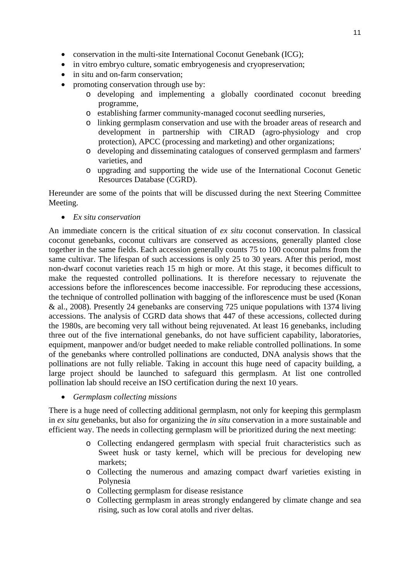- conservation in the multi-site International Coconut Genebank (ICG):
- in vitro embryo culture, somatic embryogenesis and cryopreservation;
- in situ and on-farm conservation;
- promoting conservation through use by:
	- o developing and implementing a globally coordinated coconut breeding programme,
	- o establishing farmer community-managed coconut seedling nurseries,
	- o linking germplasm conservation and use with the broader areas of research and development in partnership with CIRAD (agro-physiology and crop protection), APCC (processing and marketing) and other organizations;
	- o developing and disseminating catalogues of conserved germplasm and farmers' varieties, and
	- o upgrading and supporting the wide use of the International Coconut Genetic Resources Database (CGRD).

Hereunder are some of the points that will be discussed during the next Steering Committee Meeting.

*Ex situ conservation* 

An immediate concern is the critical situation of *ex situ* coconut conservation. In classical coconut genebanks, coconut cultivars are conserved as accessions, generally planted close together in the same fields. Each accession generally counts 75 to 100 coconut palms from the same cultivar. The lifespan of such accessions is only 25 to 30 years. After this period, most non-dwarf coconut varieties reach 15 m high or more. At this stage, it becomes difficult to make the requested controlled pollinations. It is therefore necessary to rejuvenate the accessions before the inflorescences become inaccessible. For reproducing these accessions, the technique of controlled pollination with bagging of the inflorescence must be used (Konan & al., 2008). Presently 24 genebanks are conserving 725 unique populations with 1374 living accessions. The analysis of CGRD data shows that 447 of these accessions, collected during the 1980s, are becoming very tall without being rejuvenated. At least 16 genebanks, including three out of the five international genebanks, do not have sufficient capability, laboratories, equipment, manpower and/or budget needed to make reliable controlled pollinations. In some of the genebanks where controlled pollinations are conducted, DNA analysis shows that the pollinations are not fully reliable. Taking in account this huge need of capacity building, a large project should be launched to safeguard this germplasm. At list one controlled pollination lab should receive an ISO certification during the next 10 years.

*Germplasm collecting missions* 

There is a huge need of collecting additional germplasm, not only for keeping this germplasm in *ex situ* genebanks, but also for organizing the *in situ* conservation in a more sustainable and efficient way. The needs in collecting germplasm will be prioritized during the next meeting:

- o Collecting endangered germplasm with special fruit characteristics such as Sweet husk or tasty kernel, which will be precious for developing new markets;
- o Collecting the numerous and amazing compact dwarf varieties existing in Polynesia
- o Collecting germplasm for disease resistance
- o Collecting germplasm in areas strongly endangered by climate change and sea rising, such as low coral atolls and river deltas.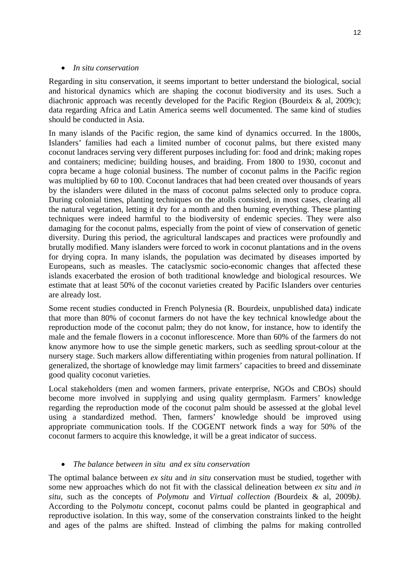#### *In situ conservation*

Regarding in situ conservation, it seems important to better understand the biological, social and historical dynamics which are shaping the coconut biodiversity and its uses. Such a diachronic approach was recently developed for the Pacific Region (Bourdeix & al, 2009c); data regarding Africa and Latin America seems well documented. The same kind of studies should be conducted in Asia.

In many islands of the Pacific region, the same kind of dynamics occurred. In the 1800s, Islanders' families had each a limited number of coconut palms, but there existed many coconut landraces serving very different purposes including for: food and drink; making ropes and containers; medicine; building houses, and braiding. From 1800 to 1930, coconut and copra became a huge colonial business. The number of coconut palms in the Pacific region was multiplied by 60 to 100. Coconut landraces that had been created over thousands of years by the islanders were diluted in the mass of coconut palms selected only to produce copra. During colonial times, planting techniques on the atolls consisted, in most cases, clearing all the natural vegetation, letting it dry for a month and then burning everything. These planting techniques were indeed harmful to the biodiversity of endemic species. They were also damaging for the coconut palms, especially from the point of view of conservation of genetic diversity. During this period, the agricultural landscapes and practices were profoundly and brutally modified. Many islanders were forced to work in coconut plantations and in the ovens for drying copra. In many islands, the population was decimated by diseases imported by Europeans, such as measles. The cataclysmic socio-economic changes that affected these islands exacerbated the erosion of both traditional knowledge and biological resources. We estimate that at least 50% of the coconut varieties created by Pacific Islanders over centuries are already lost.

Some recent studies conducted in French Polynesia (R. Bourdeix, unpublished data) indicate that more than 80% of coconut farmers do not have the key technical knowledge about the reproduction mode of the coconut palm; they do not know, for instance, how to identify the male and the female flowers in a coconut inflorescence. More than 60% of the farmers do not know anymore how to use the simple genetic markers, such as seedling sprout-colour at the nursery stage. Such markers allow differentiating within progenies from natural pollination. If generalized, the shortage of knowledge may limit farmers' capacities to breed and disseminate good quality coconut varieties.

Local stakeholders (men and women farmers, private enterprise, NGOs and CBOs) should become more involved in supplying and using quality germplasm. Farmers' knowledge regarding the reproduction mode of the coconut palm should be assessed at the global level using a standardized method. Then, farmers' knowledge should be improved using appropriate communication tools. If the COGENT network finds a way for 50% of the coconut farmers to acquire this knowledge, it will be a great indicator of success.

### *The balance between in situ and ex situ conservation*

The optimal balance between *ex situ* and *in situ* conservation must be studied, together with some new approaches which do not fit with the classical delineation between *ex situ* and *in situ*, such as the concepts of *Polymotu* and *Virtual collection (*Bourdeix & al, 2009b*)*. According to the Poly*motu* concept, coconut palms could be planted in geographical and reproductive isolation. In this way, some of the conservation constraints linked to the height and ages of the palms are shifted. Instead of climbing the palms for making controlled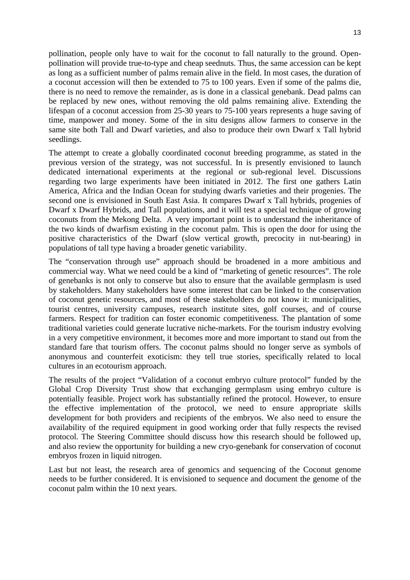pollination, people only have to wait for the coconut to fall naturally to the ground. Openpollination will provide true-to-type and cheap seednuts. Thus, the same accession can be kept as long as a sufficient number of palms remain alive in the field. In most cases, the duration of a coconut accession will then be extended to 75 to 100 years. Even if some of the palms die, there is no need to remove the remainder, as is done in a classical genebank. Dead palms can be replaced by new ones, without removing the old palms remaining alive. Extending the lifespan of a coconut accession from 25-30 years to 75-100 years represents a huge saving of time, manpower and money. Some of the in situ designs allow farmers to conserve in the same site both Tall and Dwarf varieties, and also to produce their own Dwarf x Tall hybrid seedlings.

The attempt to create a globally coordinated coconut breeding programme, as stated in the previous version of the strategy, was not successful. In is presently envisioned to launch dedicated international experiments at the regional or sub-regional level. Discussions regarding two large experiments have been initiated in 2012. The first one gathers Latin America, Africa and the Indian Ocean for studying dwarfs varieties and their progenies. The second one is envisioned in South East Asia. It compares Dwarf x Tall hybrids, progenies of Dwarf x Dwarf Hybrids, and Tall populations, and it will test a special technique of growing coconuts from the Mekong Delta. A very important point is to understand the inheritance of the two kinds of dwarfism existing in the coconut palm. This is open the door for using the positive characteristics of the Dwarf (slow vertical growth, precocity in nut-bearing) in populations of tall type having a broader genetic variability.

The "conservation through use" approach should be broadened in a more ambitious and commercial way. What we need could be a kind of "marketing of genetic resources". The role of genebanks is not only to conserve but also to ensure that the available germplasm is used by stakeholders. Many stakeholders have some interest that can be linked to the conservation of coconut genetic resources, and most of these stakeholders do not know it: municipalities, tourist centres, university campuses, research institute sites, golf courses, and of course farmers. Respect for tradition can foster economic competitiveness. The plantation of some traditional varieties could generate lucrative niche-markets. For the tourism industry evolving in a very competitive environment, it becomes more and more important to stand out from the standard fare that tourism offers. The coconut palms should no longer serve as symbols of anonymous and counterfeit exoticism: they tell true stories, specifically related to local cultures in an ecotourism approach.

The results of the project "Validation of a coconut embryo culture protocol" funded by the Global Crop Diversity Trust show that exchanging germplasm using embryo culture is potentially feasible. Project work has substantially refined the protocol. However, to ensure the effective implementation of the protocol, we need to ensure appropriate skills development for both providers and recipients of the embryos. We also need to ensure the availability of the required equipment in good working order that fully respects the revised protocol. The Steering Committee should discuss how this research should be followed up, and also review the opportunity for building a new cryo-genebank for conservation of coconut embryos frozen in liquid nitrogen.

Last but not least, the research area of genomics and sequencing of the Coconut genome needs to be further considered. It is envisioned to sequence and document the genome of the coconut palm within the 10 next years.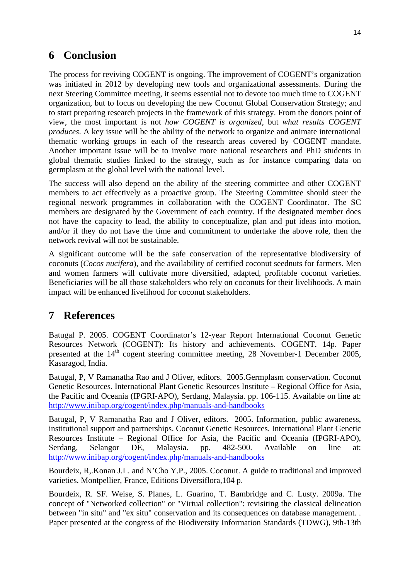## **6 Conclusion**

The process for reviving COGENT is ongoing. The improvement of COGENT's organization was initiated in 2012 by developing new tools and organizational assessments. During the next Steering Committee meeting, it seems essential not to devote too much time to COGENT organization, but to focus on developing the new Coconut Global Conservation Strategy; and to start preparing research projects in the framework of this strategy. From the donors point of view, the most important is not *how COGENT is organized*, but *what results COGENT produces*. A key issue will be the ability of the network to organize and animate international thematic working groups in each of the research areas covered by COGENT mandate. Another important issue will be to involve more national researchers and PhD students in global thematic studies linked to the strategy, such as for instance comparing data on germplasm at the global level with the national level.

The success will also depend on the ability of the steering committee and other COGENT members to act effectively as a proactive group. The Steering Committee should steer the regional network programmes in collaboration with the COGENT Coordinator. The SC members are designated by the Government of each country. If the designated member does not have the capacity to lead, the ability to conceptualize, plan and put ideas into motion, and/or if they do not have the time and commitment to undertake the above role, then the network revival will not be sustainable.

A significant outcome will be the safe conservation of the representative biodiversity of coconuts (*Cocos nucifera*), and the availability of certified coconut seednuts for farmers. Men and women farmers will cultivate more diversified, adapted, profitable coconut varieties. Beneficiaries will be all those stakeholders who rely on coconuts for their livelihoods. A main impact will be enhanced livelihood for coconut stakeholders.

# **7 References**

Batugal P. 2005. COGENT Coordinator's 12-year Report International Coconut Genetic Resources Network (COGENT): Its history and achievements. COGENT. 14p. Paper presented at the  $14<sup>th</sup>$  cogent steering committee meeting, 28 November-1 December 2005, Kasaragod, India.

Batugal, P, V Ramanatha Rao and J Oliver, editors. 2005.Germplasm conservation. Coconut Genetic Resources. International Plant Genetic Resources Institute – Regional Office for Asia, the Pacific and Oceania (IPGRI-APO), Serdang, Malaysia. pp. 106-115. Available on line at: http://www.inibap.org/cogent/index.php/manuals-and-handbooks

Batugal, P, V Ramanatha Rao and J Oliver, editors. 2005. Information, public awareness, institutional support and partnerships. Coconut Genetic Resources. International Plant Genetic Resources Institute – Regional Office for Asia, the Pacific and Oceania (IPGRI-APO), Serdang, Selangor DE, Malaysia. pp. 482-500. Available on line at: http://www.inibap.org/cogent/index.php/manuals-and-handbooks

Bourdeix, R,.Konan J.L. and N'Cho Y.P., 2005. Coconut. A guide to traditional and improved varieties. Montpellier, France, Editions Diversiflora,104 p.

Bourdeix, R. SF. Weise, S. Planes, L. Guarino, T. Bambridge and C. Lusty. 2009a. The concept of "Networked collection" or "Virtual collection": revisiting the classical delineation between "in situ" and "ex situ" conservation and its consequences on database management. . Paper presented at the congress of the Biodiversity Information Standards (TDWG), 9th-13th